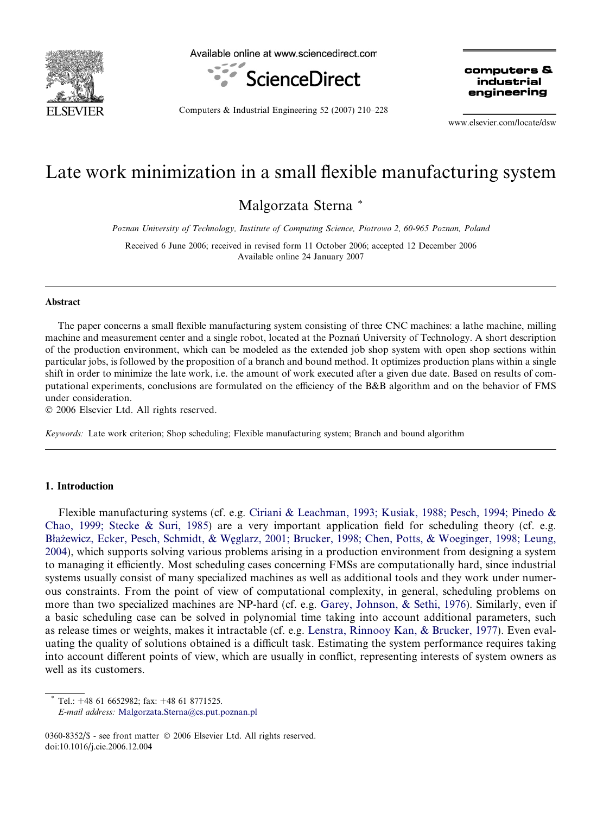

Available online at www.sciencedirect.com



computers & **industrial** engineering

Computers & Industrial Engineering 52 (2007) 210–228

www.elsevier.com/locate/dsw

## Late work minimization in a small flexible manufacturing system

Malgorzata Sterna \*

Poznan University of Technology, Institute of Computing Science, Piotrowo 2, 60-965 Poznan, Poland

Received 6 June 2006; received in revised form 11 October 2006; accepted 12 December 2006 Available online 24 January 2007

#### Abstract

The paper concerns a small flexible manufacturing system consisting of three CNC machines: a lathe machine, milling machine and measurement center and a single robot, located at the Poznan´ University of Technology. A short description of the production environment, which can be modeled as the extended job shop system with open shop sections within particular jobs, is followed by the proposition of a branch and bound method. It optimizes production plans within a single shift in order to minimize the late work, i.e. the amount of work executed after a given due date. Based on results of computational experiments, conclusions are formulated on the efficiency of the B&B algorithm and on the behavior of FMS under consideration.

© 2006 Elsevier Ltd. All rights reserved.

Keywords: Late work criterion; Shop scheduling; Flexible manufacturing system; Branch and bound algorithm

### 1. Introduction

Flexible manufacturing systems (cf. e.g. [Ciriani & Leachman, 1993; Kusiak, 1988; Pesch, 1994; Pinedo &](#page--1-0) [Chao, 1999; Stecke & Suri, 1985](#page--1-0)) are a very important application field for scheduling theory (cf. e.g. Błażewicz, Ecker, Pesch, Schmidt, & Wę[glarz, 2001; Brucker, 1998; Chen, Potts, & Woeginger, 1998; Leung,](#page--1-0) [2004](#page--1-0)), which supports solving various problems arising in a production environment from designing a system to managing it efficiently. Most scheduling cases concerning FMSs are computationally hard, since industrial systems usually consist of many specialized machines as well as additional tools and they work under numerous constraints. From the point of view of computational complexity, in general, scheduling problems on more than two specialized machines are NP-hard (cf. e.g. [Garey, Johnson, & Sethi, 1976](#page--1-0)). Similarly, even if a basic scheduling case can be solved in polynomial time taking into account additional parameters, such as release times or weights, makes it intractable (cf. e.g. [Lenstra, Rinnooy Kan, & Brucker, 1977\)](#page--1-0). Even evaluating the quality of solutions obtained is a difficult task. Estimating the system performance requires taking into account different points of view, which are usually in conflict, representing interests of system owners as well as its customers.

Tel.: +48 61 6652982; fax: +48 61 8771525.

E-mail address: [Malgorzata.Sterna@cs.put.poznan.pl](mailto:Malgorzata.Sterna@cs.put.poznan.pl)

0360-8352/\$ - see front matter © 2006 Elsevier Ltd. All rights reserved. doi:10.1016/j.cie.2006.12.004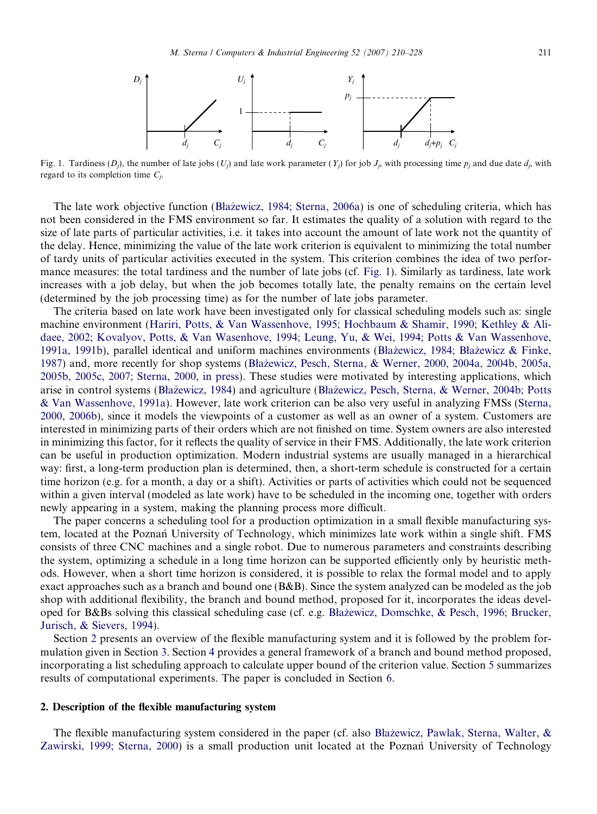

Fig. 1. Tardiness (D<sub>i</sub>), the number of late jobs (U<sub>i</sub>) and late work parameter (Y<sub>i</sub>) for job  $J<sub>i</sub>$ , with processing time  $p<sub>i</sub>$  and due date  $d<sub>i</sub>$ , with regard to its completion time  $C_i$ .

The late work objective function (Błażewicz, 1984; Sterna, 2006a) is one of scheduling criteria, which has not been considered in the FMS environment so far. It estimates the quality of a solution with regard to the size of late parts of particular activities, i.e. it takes into account the amount of late work not the quantity of the delay. Hence, minimizing the value of the late work criterion is equivalent to minimizing the total number of tardy units of particular activities executed in the system. This criterion combines the idea of two performance measures: the total tardiness and the number of late jobs (cf. Fig. 1). Similarly as tardiness, late work increases with a job delay, but when the job becomes totally late, the penalty remains on the certain level (determined by the job processing time) as for the number of late jobs parameter.

The criteria based on late work have been investigated only for classical scheduling models such as: single machine environment [\(Hariri, Potts, & Van Wassenhove, 1995; Hochbaum & Shamir, 1990; Kethley & Ali](#page--1-0)[daee, 2002; Kovalyov, Potts, & Van Wasenhove, 1994; Leung, Yu, & Wei, 1994; Potts & Van Wassenhove,](#page--1-0) [1991a, 1991b\)](#page--1-0), parallel identical and uniform machines environments (Błażewicz, 1984; Błaż[ewicz & Finke,](#page--1-0) [1987\)](#page--1-0) and, more recently for shop systems [\(Błazewicz, Pesch, Sterna, & Werner, 2000, 2004a, 2004b, 2005a,](#page--1-0) \_ [2005b, 2005c, 2007; Sterna, 2000, in press](#page--1-0)). These studies were motivated by interesting applications, which arise in control systems [\(Bła](#page--1-0)ż[ewicz, 1984](#page--1-0)) and agriculture (Błaż[ewicz, Pesch, Sterna, & Werner, 2004b; Potts](#page--1-0) [& Van Wassenhove, 1991a](#page--1-0)). However, late work criterion can be also very useful in analyzing FMSs ([Sterna,](#page--1-0) [2000, 2006b\)](#page--1-0), since it models the viewpoints of a customer as well as an owner of a system. Customers are interested in minimizing parts of their orders which are not finished on time. System owners are also interested in minimizing this factor, for it reflects the quality of service in their FMS. Additionally, the late work criterion can be useful in production optimization. Modern industrial systems are usually managed in a hierarchical way: first, a long-term production plan is determined, then, a short-term schedule is constructed for a certain time horizon (e.g. for a month, a day or a shift). Activities or parts of activities which could not be sequenced within a given interval (modeled as late work) have to be scheduled in the incoming one, together with orders newly appearing in a system, making the planning process more difficult.

The paper concerns a scheduling tool for a production optimization in a small flexible manufacturing system, located at the Poznan´ University of Technology, which minimizes late work within a single shift. FMS consists of three CNC machines and a single robot. Due to numerous parameters and constraints describing the system, optimizing a schedule in a long time horizon can be supported efficiently only by heuristic methods. However, when a short time horizon is considered, it is possible to relax the formal model and to apply exact approaches such as a branch and bound one (B&B). Since the system analyzed can be modeled as the job shop with additional flexibility, the branch and bound method, proposed for it, incorporates the ideas developed for B&Bs solving this classical scheduling case (cf. e.g. [Bła](#page--1-0)z[ewicz, Domschke, & Pesch, 1996; Brucker,](#page--1-0) \_ [Jurisch, & Sievers, 1994\)](#page--1-0).

Section 2 presents an overview of the flexible manufacturing system and it is followed by the problem formulation given in Section [3](#page--1-0). Section [4](#page--1-0) provides a general framework of a branch and bound method proposed, incorporating a list scheduling approach to calculate upper bound of the criterion value. Section [5](#page--1-0) summarizes results of computational experiments. The paper is concluded in Section [6](#page--1-0).

#### 2. Description of the flexible manufacturing system

The flexible manufacturing system considered in the paper (cf. also Błażewicz, Pawlak, Sterna, Walter, & [Zawirski, 1999; Sterna, 2000\)](#page--1-0) is a small production unit located at the Poznan´ University of Technology